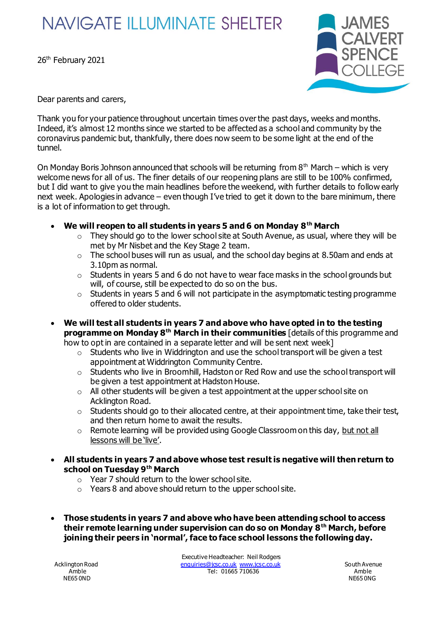## **NAVIGATE ILLUMINATE SHELTER**

26<sup>th</sup> February 2021



Dear parents and carers,

Thank you for your patience throughout uncertain times over the past days, weeks and months. Indeed, it's almost 12 months since we started to be affected as a school and community by the coronavirus pandemic but, thankfully, there does now seem to be some light at the end of the tunnel.

On Monday Boris Johnson announced that schools will be returning from  $8<sup>th</sup>$  March – which is very welcome news for all of us. The finer details of our reopening plans are still to be 100% confirmed, but I did want to give you the main headlines before the weekend, with further details to follow early next week. Apologies in advance – even though I've tried to get it down to the bare minimum, there is a lot of information to get through.

- **We will reopen to all students in years 5 and 6 on Monday 8th March**
	- $\circ$  They should go to the lower school site at South Avenue, as usual, where they will be met by Mr Nisbet and the Key Stage 2 team.
	- $\circ$  The school buses will run as usual, and the school day begins at 8.50am and ends at 3.10pm as normal.
	- $\circ$  Students in years 5 and 6 do not have to wear face masks in the school grounds but will, of course, still be expected to do so on the bus.
	- $\circ$  Students in years 5 and 6 will not participate in the asymptomatic testing programme offered to older students.
- **We will test all students in years 7 and above who have opted in to the testing programme on Monday 8th March in their communities** [details of this programme and how to opt in are contained in a separate letter and will be sent next week]
	- $\circ$  Students who live in Widdrington and use the school transport will be given a test appointment at Widdrington Community Centre.
	- o Students who live in Broomhill, Hadston or Red Row and use the school transport will be given a test appointment at Hadston House.
	- $\circ$  All other students will be given a test appointment at the upper school site on Acklington Road.
	- $\circ$  Students should go to their allocated centre, at their appointment time, take their test, and then return home to await the results.
	- $\circ$  Remote learning will be provided using Google Classroom on this day, but not all lessons will be 'live'.
- **All students in years 7 and above whose test result is negative will then return to school on Tuesday 9th March**
	- $\circ$  Year 7 should return to the lower school site.
	- $\circ$  Years 8 and above should return to the upper school site.
- **Those students in years 7 and above who have been attending school to access their remote learning under supervision can do so on Monday 8th March, before joining their peers in 'normal', face to face school lessons the following day.**